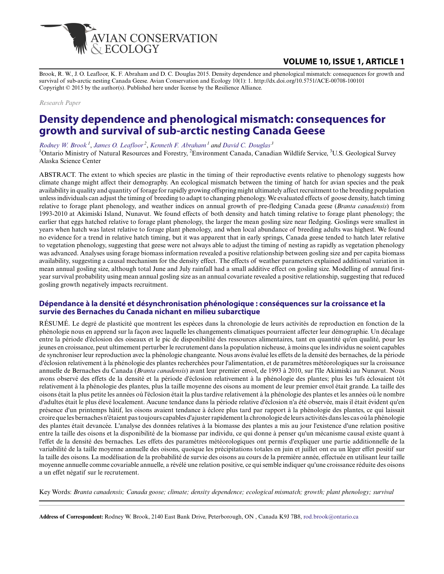

# **VOLUME 10, ISSUE 1, ARTICLE 1**

Brook, R. W., J. O. Leafloor, K. F. Abraham and D. C. Douglas 2015. Density dependence and phenological mismatch: consequences for growth and survival of sub-arctic nesting Canada Geese. Avian Conservation and Ecology 10(1): 1. http://dx.doi.org/10.5751/ACE-00708-100101 Copyright © 2015 by the author(s). Published here under license by the Resilience Alliance.

*Research Paper*

# **Density dependence and phenological mismatch: consequences for growth and survival of sub-arctic nesting Canada Geese**

*[Rodney W. Brook](mailto:rod.brook@ontario.ca)<sup>1</sup>* , *[James O. Leafloor](mailto:Jim.Leafloor@ec.gc.ca)<sup>2</sup>* , *[Kenneth F. Abraham](mailto:ken.abraham@ontario.ca)<sup>1</sup> and [David C. Douglas](mailto:ddouglas@usgs.gov)<sup>3</sup>*

<sup>1</sup>Ontario Ministry of Natural Resources and Forestry, <sup>2</sup>Environment Canada, Canadian Wildlife Service, <sup>3</sup>U.S. Geological Survey Alaska Science Center

ABSTRACT. The extent to which species are plastic in the timing of their reproductive events relative to phenology suggests how climate change might affect their demography. An ecological mismatch between the timing of hatch for avian species and the peak availability in quality and quantity of forage for rapidly growing offspring might ultimately affect recruitment to the breeding population unless individuals can adjust the timing of breeding to adapt to changing phenology. We evaluated effects of goose density, hatch timing relative to forage plant phenology, and weather indices on annual growth of pre-fledging Canada geese (*Branta canadensis*) from 1993-2010 at Akimiski Island, Nunavut. We found effects of both density and hatch timing relative to forage plant phenology; the earlier that eggs hatched relative to forage plant phenology, the larger the mean gosling size near fledging. Goslings were smallest in years when hatch was latest relative to forage plant phenology, and when local abundance of breeding adults was highest. We found no evidence for a trend in relative hatch timing, but it was apparent that in early springs, Canada geese tended to hatch later relative to vegetation phenology, suggesting that geese were not always able to adjust the timing of nesting as rapidly as vegetation phenology was advanced. Analyses using forage biomass information revealed a positive relationship between gosling size and per capita biomass availability, suggesting a causal mechanism for the density effect. The effects of weather parameters explained additional variation in mean annual gosling size, although total June and July rainfall had a small additive effect on gosling size. Modelling of annual firstyear survival probability using mean annual gosling size as an annual covariate revealed a positive relationship, suggesting that reduced gosling growth negatively impacts recruitment.

### **Dépendance à la densité et désynchronisation phénologique : conséquences sur la croissance et la survie des Bernaches du Canada nichant en milieu subarctique**

RÉSUMÉ. Le degré de plasticité que montrent les espèces dans la chronologie de leurs activités de reproduction en fonction de la phénologie nous en apprend sur la façon avec laquelle les changements climatiques pourraient affecter leur démographie. Un décalage entre la période d'éclosion des oiseaux et le pic de disponibilité des ressources alimentaires, tant en quantité qu'en qualité, pour les jeunes en croissance, peut ultimement perturber le recrutement dans la population nicheuse, à moins que les individus ne soient capables de synchroniser leur reproduction avec la phénologie changeante. Nous avons évalué les effets de la densité des bernaches, de la période d'éclosion relativement à la phénologie des plantes recherchées pour l'alimentation, et de paramètres météorologiques sur la croissance annuelle de Bernaches du Canada (*Branta canadensis*) avant leur premier envol, de 1993 à 2010, sur l'île Akimiski au Nunavut. Nous avons observé des effets de la densité et la période d'éclosion relativement à la phénologie des plantes; plus les !ufs éclosaient tôt relativement à la phénologie des plantes, plus la taille moyenne des oisons au moment de leur premier envol était grande. La taille des oisons était la plus petite les années où l'éclosion était la plus tardive relativement à la phénologie des plantes et les années où le nombre d'adultes était le plus élevé localement. Aucune tendance dans la période relative d'éclosion n'a été observée, mais il était évident qu'en présence d'un printemps hâtif, les oisons avaient tendance à éclore plus tard par rapport à la phénologie des plantes, ce qui laissait croire que les bernaches n'étaient pas toujours capables d'ajuster rapidement la chronologie de leurs activités dans les cas où la phénologie des plantes était devancée. L'analyse des données relatives à la biomasse des plantes a mis au jour l'existence d'une relation positive entre la taille des oisons et la disponibilité de la biomasse par individu, ce qui donne à penser qu'un mécanisme causal existe quant à l'effet de la densité des bernaches. Les effets des paramètres météorologiques ont permis d'expliquer une partie additionnelle de la variabilité de la taille moyenne annuelle des oisons, quoique les précipitations totales en juin et juillet ont eu un léger effet positif sur la taille des oisons. La modélisation de la probabilité de survie des oisons au cours de la première année, effectuée en utilisant leur taille moyenne annuelle comme covariable annuelle, a révélé une relation positive, ce qui semble indiquer qu'une croissance réduite des oisons a un effet négatif sur le recrutement.

Key Words: *Branta canadensis; Canada goose; climate; density dependence; ecological mismatch; growth; plant phenology; survival*

**Address of Correspondent:** Rodney W. Brook, 2140 East Bank Drive, Peterborough, ON , Canada K9J 7B8, [rod.brook@ontario.ca](mailto:rod.brook@ontario.ca)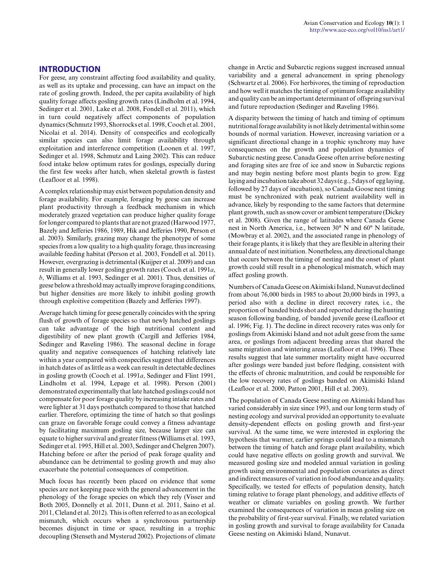For geese, any constraint affecting food availability and quality, as well as its uptake and processing, can have an impact on the rate of gosling growth. Indeed, the per capita availability of high quality forage affects gosling growth rates (Lindholm et al. 1994, Sedinger et al. 2001, Lake et al. 2008, Fondell et al. 2011), which in turn could negatively affect components of population dynamics (Schmutz 1993, Shorrocks et al. 1998, Cooch et al. 2001, Nicolai et al. 2014). Density of conspecifics and ecologically similar species can also limit forage availability through exploitation and interference competition (Loonen et al. 1997, Sedinger et al. 1998, Schmutz and Laing 2002). This can reduce food intake below optimum rates for goslings, especially during the first few weeks after hatch, when skeletal growth is fastest (Leafloor et al. 1998).

A complex relationship may exist between population density and forage availability. For example, foraging by geese can increase plant productivity through a feedback mechanism in which moderately grazed vegetation can produce higher quality forage for longer compared to plants that are not grazed (Harwood 1977, Bazely and Jefferies 1986, 1989, Hik and Jefferies 1990, Person et al. 2003). Similarly, grazing may change the phenotype of some species from a low quality to a high quality forage, thus increasing available feeding habitat (Person et al. 2003, Fondell et al. 2011). However, overgrazing is detrimental (Kuijper et al. 2009) and can result in generally lower gosling growth rates (Cooch et al. 1991*a*, *b*, Williams et al. 1993, Sedinger et al. 2001). Thus, densities of geese below a threshold may actually improve foraging conditions, but higher densities are more likely to inhibit gosling growth through exploitive competition (Bazely and Jefferies 1997).

Average hatch timing for geese generally coincides with the spring flush of growth of forage species so that newly hatched goslings can take advantage of the high nutritional content and digestibility of new plant growth (Cargill and Jefferies 1984, Sedinger and Raveling 1986). The seasonal decline in forage quality and negative consequences of hatching relatively late within a year compared with conspecifics suggest that differences in hatch dates of as little as a week can result in detectable declines in gosling growth (Cooch et al. 1991*a*, Sedinger and Flint 1991, Lindholm et al. 1994, Lepage et al. 1998). Person (2001) demonstrated experimentally that late hatched goslings could not compensate for poor forage quality by increasing intake rates and were lighter at 31 days posthatch compared to those that hatched earlier. Therefore, optimizing the time of hatch so that goslings can graze on favorable forage could convey a fitness advantage by facilitating maximum gosling size, because larger size can equate to higher survival and greater fitness (Williams et al. 1993, Sedinger et al. 1995, Hill et al. 2003, Sedinger and Chelgren 2007). Hatching before or after the period of peak forage quality and abundance can be detrimental to gosling growth and may also exacerbate the potential consequences of competition.

Much focus has recently been placed on evidence that some species are not keeping pace with the general advancement in the phenology of the forage species on which they rely (Visser and Both 2005, Donnelly et al. 2011, Dunn et al. 2011, Saino et al. 2011, Cleland et al. 2012). This is often referred to as an ecological mismatch, which occurs when a synchronous partnership becomes disjunct in time or space, resulting in a trophic decoupling (Stenseth and Mysterud 2002). Projections of climate change in Arctic and Subarctic regions suggest increased annual variability and a general advancement in spring phenology (Schwartz et al. 2006). For herbivores, the timing of reproduction and how well it matches the timing of optimum forage availability and quality can be an important determinant of offspring survival and future reproduction (Sedinger and Raveling 1986).

A disparity between the timing of hatch and timing of optimum nutritional forage availability is not likely detrimental within some bounds of normal variation. However, increasing variation or a significant directional change in a trophic synchrony may have consequences on the growth and population dynamics of Subarctic nesting geese. Canada Geese often arrive before nesting and foraging sites are free of ice and snow in Subarctic regions and may begin nesting before most plants begin to grow. Egg laying and incubation take about 32 days (e.g., 5 days of egg laying, followed by 27 days of incubation), so Canada Goose nest timing must be synchronized with peak nutrient availability well in advance, likely by responding to the same factors that determine plant growth, such as snow cover or ambient temperature (Dickey et al. 2008). Given the range of latitudes where Canada Geese nest in North America, i.e., between 30° N and 60° N latitude, (Mowbray et al. 2002), and the associated range in phenology of their forage plants, it is likely that they are flexible in altering their annual date of nest initiation. Nonetheless, any directional change that occurs between the timing of nesting and the onset of plant growth could still result in a phenological mismatch, which may affect gosling growth.

Numbers of Canada Geese on Akimiski Island, Nunavut declined from about 76,000 birds in 1985 to about 20,000 birds in 1993, a period also with a decline in direct recovery rates, i.e., the proportion of banded birds shot and reported during the hunting season following banding, of banded juvenile geese (Leafloor et al. 1996; Fig. 1). The decline in direct recovery rates was only for goslings from Akimiski Island and not adult geese from the same area, or goslings from adjacent breeding areas that shared the same migration and wintering areas (Leafloor et al. 1996). These results suggest that late summer mortality might have occurred after goslings were banded just before fledging, consistent with the effects of chronic malnutrition, and could be responsible for the low recovery rates of goslings banded on Akimiski Island (Leafloor et al. 2000, Patton 2001, Hill et al. 2003).

The population of Canada Geese nesting on Akimiski Island has varied considerably in size since 1993, and our long term study of nesting ecology and survival provided an opportunity to evaluate density-dependent effects on gosling growth and first-year survival. At the same time, we were interested in exploring the hypothesis that warmer, earlier springs could lead to a mismatch between the timing of hatch and forage plant availability, which could have negative effects on gosling growth and survival. We measured gosling size and modeled annual variation in gosling growth using environmental and population covariates as direct and indirect measures of variation in food abundance and quality. Specifically, we tested for effects of population density, hatch timing relative to forage plant phenology, and additive effects of weather or climate variables on gosling growth. We further examined the consequences of variation in mean gosling size on the probability of first-year survival. Finally, we related variation in gosling growth and survival to forage availability for Canada Geese nesting on Akimiski Island, Nunavut.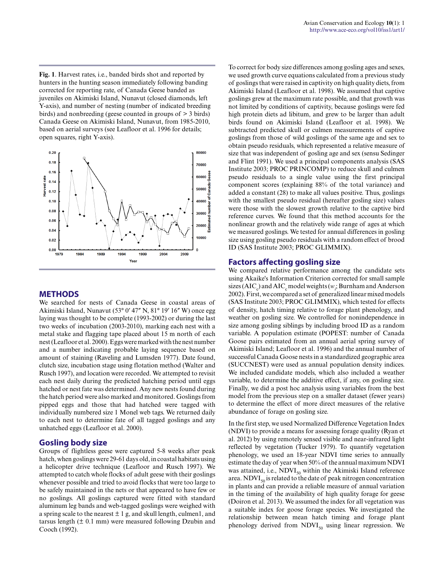**Fig. 1**. Harvest rates, i.e., banded birds shot and reported by hunters in the hunting season immediately following banding corrected for reporting rate, of Canada Geese banded as juveniles on Akimiski Island, Nunavut (closed diamonds, left Y-axis), and number of nesting (number of indicated breeding birds) and nonbreeding (geese counted in groups of > 3 birds) Canada Geese on Akimiski Island, Nunavut, from 1985-2010, based on aerial surveys (see Leafloor et al. 1996 for details; open squares, right Y-axis).



### **METHODS**

We searched for nests of Canada Geese in coastal areas of Akimiski Island, Nunavut (53° 0′ 47″ N, 81° 19′ 16″ W) once egg laying was thought to be complete (1993-2002) or during the last two weeks of incubation (2003-2010), marking each nest with a metal stake and flagging tape placed about 15 m north of each nest (Leafloor et al. 2000). Eggs were marked with the nest number and a number indicating probable laying sequence based on amount of staining (Raveling and Lumsden 1977). Date found, clutch size, incubation stage using flotation method (Walter and Rusch 1997), and location were recorded. We attempted to revisit each nest daily during the predicted hatching period until eggs hatched or nest fate was determined. Any new nests found during the hatch period were also marked and monitored. Goslings from pipped eggs and those that had hatched were tagged with individually numbered size 1 Monel web tags. We returned daily to each nest to determine fate of all tagged goslings and any unhatched eggs (Leafloor et al. 2000).

### **Gosling body size**

Groups of flightless geese were captured 5-8 weeks after peak hatch, when goslings were 29-61 days old, in coastal habitats using a helicopter drive technique (Leafloor and Rusch 1997). We attempted to catch whole flocks of adult geese with their goslings whenever possible and tried to avoid flocks that were too large to be safely maintained in the nets or that appeared to have few or no goslings. All goslings captured were fitted with standard aluminum leg bands and web-tagged goslings were weighed with a spring scale to the nearest  $\pm 1$  g, and skull length, culmen1, and tarsus length  $(\pm 0.1 \text{ mm})$  were measured following Dzubin and Cooch (1992).

To correct for body size differences among gosling ages and sexes, we used growth curve equations calculated from a previous study of goslings that were raised in captivity on high quality diets, from Akimiski Island (Leafloor et al. 1998). We assumed that captive goslings grew at the maximum rate possible, and that growth was not limited by conditions of captivity, because goslings were fed high protein diets ad libitum, and grew to be larger than adult birds found on Akimiski Island (Leafloor et al. 1998). We subtracted predicted skull or culmen measurements of captive goslings from those of wild goslings of the same age and sex to obtain pseudo residuals, which represented a relative measure of size that was independent of gosling age and sex (sensu Sedinger and Flint 1991). We used a principal components analysis (SAS Institute 2003; PROC PRINCOMP) to reduce skull and culmen pseudo residuals to a single value using the first principal component scores (explaining 88% of the total variance) and added a constant (28) to make all values positive. Thus, goslings with the smallest pseudo residual (hereafter gosling size) values were those with the slowest growth relative to the captive bird reference curves. We found that this method accounts for the nonlinear growth and the relatively wide range of ages at which we measured goslings. We tested for annual differences in gosling size using gosling pseudo residuals with a random effect of brood ID (SAS Institute 2003; PROC GLIMMIX).

### **Factors affecting gosling size**

We compared relative performance among the candidate sets using Akaike's Information Criterion corrected for small sample sizes (AIC<sub>c</sub>) and AIC<sub>c</sub> model weights (*w*<sub>i</sub>; Burnham and Anderson 2002). First, we compared a set of generalized linear mixed models (SAS Institute 2003; PROC GLIMMIX), which tested for effects of density, hatch timing relative to forage plant phenology, and weather on gosling size. We controlled for nonindependence in size among gosling siblings by including brood ID as a random variable. A population estimate (POPEST: number of Canada Goose pairs estimated from an annual aerial spring survey of Akimiski Island; Leafloor et al. 1996) and the annual number of successful Canada Goose nests in a standardized geographic area (SUCCNEST) were used as annual population density indices. We included candidate models, which also included a weather variable, to determine the additive effect, if any, on gosling size. Finally, we did a post hoc analysis using variables from the best model from the previous step on a smaller dataset (fewer years) to determine the effect of more direct measures of the relative abundance of forage on gosling size.

In the first step, we used Normalized Difference Vegetation Index (NDVI) to provide a means for assessing forage quality (Ryan et al. 2012) by using remotely sensed visible and near-infrared light reflected by vegetation (Tucker 1979). To quantify vegetation phenology, we used an 18-year NDVI time series to annually estimate the day of year when 50% of the annual maximum NDVI was attained, i.e.,  $NDVI_{50}$  within the Akimiski Island reference area.  $NDVI_{50}$  is related to the date of peak nitrogen concentration in plants and can provide a reliable measure of annual variation in the timing of the availability of high quality forage for geese (Doiron et al. 2013). We assumed the index for all vegetation was a suitable index for goose forage species. We investigated the relationship between mean hatch timing and forage plant phenology derived from  $NDVI_{50}$  using linear regression. We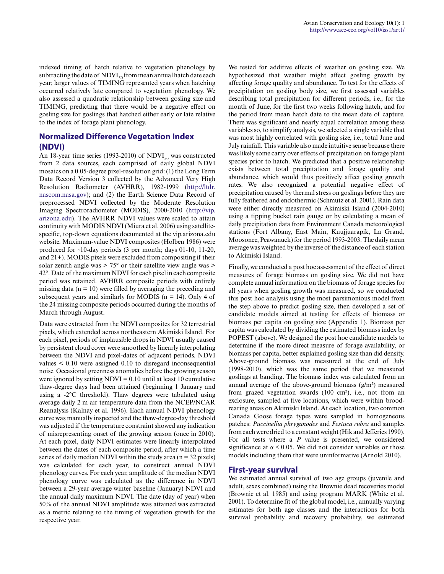indexed timing of hatch relative to vegetation phenology by subtracting the date of  $NDVI_{50}$  from mean annual hatch date each year; larger values of TIMING represented years when hatching occurred relatively late compared to vegetation phenology. We also assessed a quadratic relationship between gosling size and TIMING, predicting that there would be a negative effect on gosling size for goslings that hatched either early or late relative to the index of forage plant phenology.

## **Normalized Difference Vegetation Index (NDVI)**

An 18-year time series (1993-2010) of  $NDVI_{50}$  was constructed from 2 data sources, each comprised of daily global NDVI mosaics on a 0.05-degree pixel-resolution grid: (1) the Long Term Data Record Version 3 collected by the Advanced Very High Resolution Radiometer (AVHRR), 1982-1999 ([http://ltdr.](http://ltdr.nascom.nasa.gov) [nascom.nasa.gov](http://ltdr.nascom.nasa.gov)); and (2) the Earth Science Data Record of preprocessed NDVI collected by the Moderate Resolution Imaging Spectroradiometer (MODIS), 2000-2010 ([http://vip.](http://vip.arizona.edu) [arizona.edu](http://vip.arizona.edu)). The AVHRR NDVI values were scaled to attain continuity with MODIS NDVI (Miura et al. 2006) using satellitespecific, top-down equations documented at the vip.arizona.edu website. Maximum-value NDVI composites (Holben 1986) were produced for ∼10-day periods (3 per month; days 01-10, 11-20, and 21+). MODIS pixels were excluded from compositing if their solar zenith angle was  $> 75^{\circ}$  or their satellite view angle was  $>$ 42°. Date of the maximum NDVI for each pixel in each composite period was retained. AVHRR composite periods with entirely missing data ( $n = 10$ ) were filled by averaging the preceding and subsequent years and similarly for MODIS ( $n = 14$ ). Only 4 of the 24 missing composite periods occurred during the months of March through August.

Data were extracted from the NDVI composites for 32 terrestrial pixels, which extended across northeastern Akimiski Island. For each pixel, periods of implausible drops in NDVI usually caused by persistent cloud cover were smoothed by linearly interpolating between the NDVI and pixel-dates of adjacent periods. NDVI values < 0.10 were assigned 0.10 to disregard inconsequential noise. Occasional greenness anomalies before the growing season were ignored by setting  $NDVI = 0.10$  until at least 10 cumulative thaw-degree days had been attained (beginning 1 January and using a -2°C threshold). Thaw degrees were tabulated using average daily 2 m air temperature data from the NCEP/NCAR Reanalysis (Kalnay et al. 1996). Each annual NDVI phenology curve was manually inspected and the thaw-degree-day threshold was adjusted if the temperature constraint showed any indication of misrepresenting onset of the growing season (once in 2010). At each pixel, daily NDVI estimates were linearly interpolated between the dates of each composite period, after which a time series of daily median NDVI within the study area  $(n = 32 \text{ pixels})$ was calculated for each year, to construct annual NDVI phenology curves. For each year, amplitude of the median NDVI phenology curve was calculated as the difference in NDVI between a 29-year average winter baseline (January) NDVI and the annual daily maximum NDVI. The date (day of year) when 50% of the annual NDVI amplitude was attained was extracted as a metric relating to the timing of vegetation growth for the respective year.

We tested for additive effects of weather on gosling size. We hypothesized that weather might affect gosling growth by affecting forage quality and abundance. To test for the effects of precipitation on gosling body size, we first assessed variables describing total precipitation for different periods, i.e., for the month of June, for the first two weeks following hatch, and for the period from mean hatch date to the mean date of capture. There was significant and nearly equal correlation among these variables so, to simplify analysis, we selected a single variable that was most highly correlated with gosling size, i.e., total June and July rainfall. This variable also made intuitive sense because there was likely some carry over effects of precipitation on forage plant species prior to hatch. We predicted that a positive relationship exists between total precipitation and forage quality and abundance, which would thus positively affect gosling growth rates. We also recognized a potential negative effect of precipitation caused by thermal stress on goslings before they are fully feathered and endothermic (Schmutz et al. 2001). Rain data were either directly measured on Akimiski Island (2004-2010) using a tipping bucket rain gauge or by calculating a mean of daily precipitation data from Environment Canada meteorological stations (Fort Albany, East Main, Kuujjuarapik, La Grand, Moosonee, Peawanuck) for the period 1993-2003. The daily mean average was weighted by the inverse of the distance of each station to Akimiski Island.

Finally, we conducted a post hoc assessment of the effect of direct measures of forage biomass on gosling size. We did not have complete annual information on the biomass of forage species for all years when gosling growth was measured, so we conducted this post hoc analysis using the most parsimonious model from the step above to predict gosling size, then developed a set of candidate models aimed at testing for effects of biomass or biomass per capita on gosling size (Appendix 1). Biomass per capita was calculated by dividing the estimated biomass index by POPEST (above). We designed the post hoc candidate models to determine if the more direct measure of forage availability, or biomass per capita, better explained gosling size than did density. Above-ground biomass was measured at the end of July (1998-2010), which was the same period that we measured goslings at banding. The biomass index was calculated from an annual average of the above-ground biomass (g/m²) measured from grazed vegetation swards (100 cm²), i.e., not from an exclosure, sampled at five locations, which were within broodrearing areas on Akimiski Island. At each location, two common Canada Goose forage types were sampled in homogeneous patches: *Puccinellia phryganodes* and *Festuca rubra* and samples from each were dried to a constant weight (Hik and Jefferies 1990). For all tests where a *P* value is presented, we considered significance at  $\alpha \leq 0.05$ . We did not consider variables or those models including them that were uninformative (Arnold 2010).

### **First-year survival**

We estimated annual survival of two age groups (juvenile and adult, sexes combined) using the Brownie dead recoveries model (Brownie et al. 1985) and using program MARK (White et al. 2001). To determine fit of the global model, i.e., annually varying estimates for both age classes and the interactions for both survival probability and recovery probability, we estimated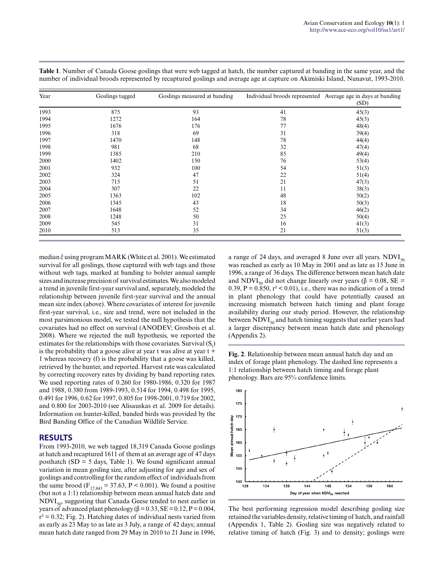| Year | Goslings tagged | Goslings measured at banding |    | Individual broods represented Average age in days at banding<br>(SD) |
|------|-----------------|------------------------------|----|----------------------------------------------------------------------|
| 1993 | 875             | 93                           | 41 | 45(3)                                                                |
| 1994 | 1272            | 164                          | 78 | 45(3)                                                                |
| 1995 | 1676            | 176                          | 77 | 48(4)                                                                |
| 1996 | 318             | 69                           | 31 | 39(4)                                                                |
| 1997 | 1470            | 148                          | 78 | 44(4)                                                                |
| 1998 | 981             | 68                           | 32 | 47(4)                                                                |
| 1999 | 1385            | 210                          | 85 | 49(4)                                                                |
| 2000 | 1402            | 150                          | 76 | 53(4)                                                                |
| 2001 | 932             | 100                          | 54 | 51(3)                                                                |
| 2002 | 324             | 47                           | 22 | 51(4)                                                                |
| 2003 | 715             | 51                           | 21 | 47(3)                                                                |
| 2004 | 307             | 22                           | 11 | 38(3)                                                                |
| 2005 | 1363            | 102                          | 48 | 50(2)                                                                |
| 2006 | 1345            | 43                           | 18 | 50(3)                                                                |
| 2007 | 1648            | 52                           | 34 | 46(2)                                                                |
| 2008 | 1248            | 50                           | 25 | 50(4)                                                                |
| 2009 | 545             | 31                           | 16 | 41(3)                                                                |
| 2010 | 513             | 35                           | 21 | 51(3)                                                                |

**Table 1**. Number of Canada Goose goslings that were web tagged at hatch, the number captured at banding in the same year, and the number of individual broods represented by recaptured goslings and average age at capture on Akimiski Island, Nunavut, 1993-2010.

median ĉ using program MARK (White et al. 2001). We estimated survival for all goslings, those captured with web tags and those without web tags, marked at banding to bolster annual sample sizes and increase precision of survival estimates. We also modeled a trend in juvenile first-year survival and, separately, modeled the relationship between juvenile first-year survival and the annual mean size index (above). Where covariates of interest for juvenile first-year survival, i.e., size and trend, were not included in the most parsimonious model, we tested the null hypothesis that the covariates had no effect on survival (ANODEV; Grosbois et al. 2008). Where we rejected the null hypothesis, we reported the estimates for the relationships with those covariates. Survival  $(S_t)$ is the probability that a goose alive at year t was alive at year t + 1 whereas recovery (f) is the probability that a goose was killed, retrieved by the hunter, and reported. Harvest rate was calculated by correcting recovery rates by dividing by band reporting rates. We used reporting rates of 0.260 for 1980-1986, 0.320 for 1987 and 1988, 0.380 from 1989-1993, 0.514 for 1994, 0.498 for 1995, 0.491 for 1996, 0.62 for 1997, 0.805 for 1998-2001, 0.719 for 2002, and 0.800 for 2003-2010 (see Alisauskas et al. 2009 for details). Information on hunter-killed, banded birds was provided by the Bird Banding Office of the Canadian Wildlife Service.

### **RESULTS**

From 1993-2010, we web tagged 18,319 Canada Goose goslings at hatch and recaptured 1611 of them at an average age of 47 days posthatch  $(SD = 5$  days, Table 1). We found significant annual variation in mean gosling size, after adjusting for age and sex of goslings and controlling for the random effect of individuals from the same brood ( $F_{17,843} = 37.63$ , P < 0.001). We found a positive (but not a 1:1) relationship between mean annual hatch date and  $NDVI<sub>50</sub>$ , suggesting that Canada Geese tended to nest earlier in years of advanced plant phenology ( $β = 0.33$ ,  $SE = 0.12$ ,  $P = 0.004$ ,  $r^2 = 0.32$ ; Fig. 2). Hatching dates of individual nests varied from as early as 23 May to as late as 3 July, a range of 42 days; annual mean hatch date ranged from 29 May in 2010 to 21 June in 1996, a range of 24 days, and averaged 8 June over all years.  $NDVI_{50}$ was reached as early as 10 May in 2001 and as late as 15 June in 1996, a range of 36 days. The difference between mean hatch date and NDVI<sub>50</sub> did not change linearly over years ( $\beta$  = 0.08, SE = 0.39,  $P = 0.850$ ,  $r^2 < 0.01$ ), i.e., there was no indication of a trend in plant phenology that could have potentially caused an increasing mismatch between hatch timing and plant forage availability during our study period. However, the relationship between  $NDVI_{50}$  and hatch timing suggests that earlier years had a larger discrepancy between mean hatch date and phenology (Appendix 2).

**Fig. 2**. Relationship between mean annual hatch day and an index of forage plant phenology. The dashed line represents a 1:1 relationship between hatch timing and forage plant phenology. Bars are 95% confidence limits.



The best performing regression model describing gosling size retained the variables density, relative timing of hatch, and rainfall (Appendix 1, Table 2). Gosling size was negatively related to relative timing of hatch (Fig. 3) and to density; goslings were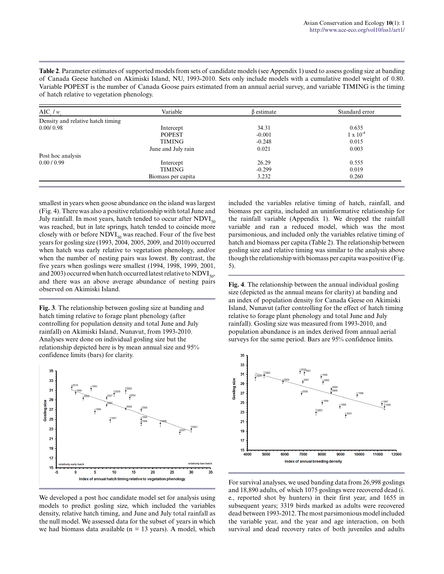**Table 2**. Parameter estimates of supported models from sets of candidate models (see Appendix 1) used to assess gosling size at banding of Canada Geese hatched on Akimiski Island, NU, 1993-2010. Sets only include models with a cumulative model weight of 0.80. Variable POPEST is the number of Canada Goose pairs estimated from an annual aerial survey, and variable TIMING is the timing of hatch relative to vegetation phenology.

| $AIC_{c}/w_{i}$                   | Variable           | $\beta$ estimate | Standard error     |
|-----------------------------------|--------------------|------------------|--------------------|
| Density and relative hatch timing |                    |                  |                    |
| 0.00/0.98                         | Intercept          | 34.31            | 0.635              |
|                                   | <b>POPEST</b>      | $-0.001$         | $1 \times 10^{-4}$ |
|                                   | <b>TIMING</b>      | $-0.248$         | 0.015              |
|                                   | June and July rain | 0.021            | 0.003              |
| Post hoc analysis                 |                    |                  |                    |
| 0.00 / 0.99                       | Intercept          | 26.29            | 0.555              |
|                                   | <b>TIMING</b>      | $-0.299$         | 0.019              |
|                                   | Biomass per capita | 3.232            | 0.260              |

smallest in years when goose abundance on the island was largest (Fig. 4). There was also a positive relationship with total June and July rainfall. In most years, hatch tended to occur after  $NDVI<sub>50</sub>$ was reached, but in late springs, hatch tended to coincide more closely with or before  $NDVI_{50}$  was reached. Four of the five best years for gosling size (1993, 2004, 2005, 2009, and 2010) occurred when hatch was early relative to vegetation phenology, and/or when the number of nesting pairs was lowest. By contrast, the five years when goslings were smallest (1994, 1998, 1999, 2001, and 2003) occurred when hatch occurred latest relative to  $NDVI_{50}$ , and there was an above average abundance of nesting pairs observed on Akimiski Island.

**Fig. 3**. The relationship between gosling size at banding and hatch timing relative to forage plant phenology (after controlling for population density and total June and July rainfall) on Akimiski Island, Nunavut, from 1993-2010. Analyses were done on individual gosling size but the relationship depicted here is by mean annual size and 95% confidence limits (bars) for clarity.



We developed a post hoc candidate model set for analysis using models to predict gosling size, which included the variables density, relative hatch timing, and June and July total rainfall as the null model. We assessed data for the subset of years in which we had biomass data available ( $n = 13$  years). A model, which included the variables relative timing of hatch, rainfall, and biomass per capita, included an uninformative relationship for the rainfall variable (Appendix 1). We dropped the rainfall variable and ran a reduced model, which was the most parsimonious, and included only the variables relative timing of hatch and biomass per capita (Table 2). The relationship between gosling size and relative timing was similar to the analysis above though the relationship with biomass per capita was positive (Fig. 5).

**Fig. 4**. The relationship between the annual individual gosling size (depicted as the annual means for clarity) at banding and an index of population density for Canada Geese on Akimiski Island, Nunavut (after controlling for the effect of hatch timing relative to forage plant phenology and total June and July rainfall). Gosling size was measured from 1993-2010, and population abundance is an index derived from annual aerial surveys for the same period. Bars are 95% confidence limits.



For survival analyses, we used banding data from 26,998 goslings and 18,890 adults, of which 1075 goslings were recovered dead (i. e., reported shot by hunters) in their first year, and 1655 in subsequent years; 3319 birds marked as adults were recovered dead between 1993-2012. The most parsimonious model included the variable year, and the year and age interaction, on both survival and dead recovery rates of both juveniles and adults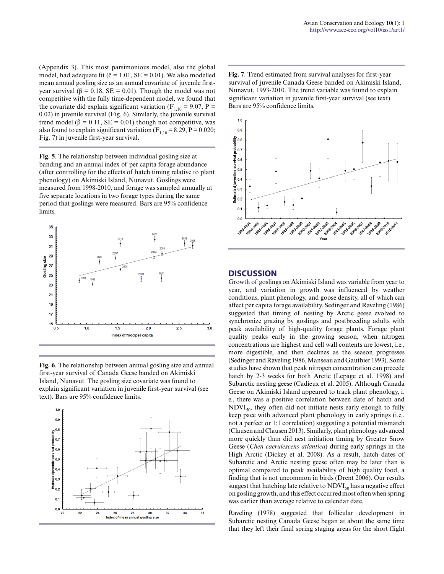(Appendix 3). This most parsimonious model, also the global model, had adequate fit ( $\hat{c} = 1.01$ , SE = 0.01). We also modelled mean annual gosling size as an annual covariate of juvenile firstyear survival (β = 0.18, SE = 0.01). Though the model was not competitive with the fully time-dependent model, we found that the covariate did explain significant variation ( $F_{1,10} = 9.07$ , P = 0.02) in juvenile survival (Fig. 6). Similarly, the juvenile survival trend model ( $\beta$  = 0.11, SE = 0.01) though not competitive, was also found to explain significant variation ( $F_{1,10} = 8.29$ ,  $P = 0.020$ ; Fig. 7) in juvenile first-year survival.

**Fig. 5**. The relationship between individual gosling size at banding and an annual index of per capita forage abundance (after controlling for the effects of hatch timing relative to plant phenology) on Akimiski Island, Nunavut. Goslings were measured from 1998-2010, and forage was sampled annually at five separate locations in two forage types during the same period that goslings were measured. Bars are 95% confidence limits.



**Fig. 6**. The relationship between annual gosling size and annual first-year survival of Canada Geese banded on Akimiski Island, Nunavut. The gosling size covariate was found to explain significant variation in juvenile first-year survival (see text). Bars are 95% confidence limits.



**Fig. 7**. Trend estimated from survival analyses for first-year survival of juvenile Canada Geese banded on Akimiski Island, Nunavut, 1993-2010. The trend variable was found to explain significant variation in juvenile first-year survival (see text). Bars are 95% confidence limits.



#### **DISCUSSION**

Growth of goslings on Akimiski Island was variable from year to year, and variation in growth was influenced by weather conditions, plant phenology, and goose density, all of which can affect per capita forage availability. Sedinger and Raveling (1986) suggested that timing of nesting by Arctic geese evolved to synchronize grazing by goslings and postbreeding adults with peak availability of high-quality forage plants. Forage plant quality peaks early in the growing season, when nitrogen concentrations are highest and cell wall contents are lowest, i.e., more digestible, and then declines as the season progresses (Sedinger and Raveling 1986, Manseau and Gauthier 1993). Some studies have shown that peak nitrogen concentration can precede hatch by 2-3 weeks for both Arctic (Lepage et al. 1998) and Subarctic nesting geese (Cadieux et al. 2005). Although Canada Geese on Akimiski Island appeared to track plant phenology, i. e., there was a positive correlation between date of hatch and  $NDVI_{50}$ , they often did not initiate nests early enough to fully keep pace with advanced plant phenology in early springs (i.e., not a perfect or 1:1 correlation) suggesting a potential mismatch (Clausen and Clausen 2013). Similarly, plant phenology advanced more quickly than did nest initiation timing by Greater Snow Geese (*Chen caerulescens atlantica*) during early springs in the High Arctic (Dickey et al. 2008). As a result, hatch dates of Subarctic and Arctic nesting geese often may be later than is optimal compared to peak availability of high quality food, a finding that is not uncommon in birds (Drent 2006). Our results suggest that hatching late relative to  $NDVI_{50}$  has a negative effect on gosling growth, and this effect occurred most often when spring was earlier than average relative to calendar date.

Raveling (1978) suggested that follicular development in Subarctic nesting Canada Geese began at about the same time that they left their final spring staging areas for the short flight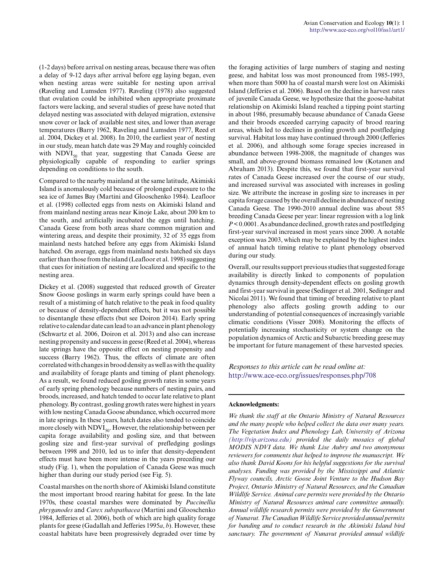(1-2 days) before arrival on nesting areas, because there was often a delay of 9-12 days after arrival before egg laying began, even when nesting areas were suitable for nesting upon arrival (Raveling and Lumsden 1977). Raveling (1978) also suggested that ovulation could be inhibited when appropriate proximate factors were lacking, and several studies of geese have noted that delayed nesting was associated with delayed migration, extensive snow cover or lack of available nest sites, and lower than average temperatures (Barry 1962, Raveling and Lumsden 1977, Reed et al. 2004, Dickey et al. 2008). In 2010, the earliest year of nesting in our study, mean hatch date was 29 May and roughly coincided with  $NDVI_{50}$  that year, suggesting that Canada Geese are physiologically capable of responding to earlier springs depending on conditions to the south.

Compared to the nearby mainland at the same latitude, Akimiski Island is anomalously cold because of prolonged exposure to the sea ice of James Bay (Martini and Glooschenko 1984). Leafloor et al. (1998) collected eggs from nests on Akimiski Island and from mainland nesting areas near Kinoje Lake, about 200 km to the south, and artificially incubated the eggs until hatching. Canada Geese from both areas share common migration and wintering areas, and despite their proximity, 32 of 35 eggs from mainland nests hatched before any eggs from Akimiski Island hatched. On average, eggs from mainland nests hatched six days earlier than those from the island (Leafloor et al. 1998) suggesting that cues for initiation of nesting are localized and specific to the nesting area.

Dickey et al. (2008) suggested that reduced growth of Greater Snow Goose goslings in warm early springs could have been a result of a mistiming of hatch relative to the peak in food quality or because of density-dependent effects, but it was not possible to disentangle these effects (but see Doiron 2014). Early spring relative to calendar date can lead to an advance in plant phenology (Schwartz et al. 2006, Doiron et al. 2013) and also can increase nesting propensity and success in geese (Reed et al. 2004), whereas late springs have the opposite effect on nesting propensity and success (Barry 1962). Thus, the effects of climate are often correlated with changes in brood density as well as with the quality and availability of forage plants and timing of plant phenology. As a result, we found reduced gosling growth rates in some years of early spring phenology because numbers of nesting pairs, and broods, increased, and hatch tended to occur late relative to plant phenology. By contrast, gosling growth rates were highest in years with low nesting Canada Goose abundance, which occurred more in late springs. In these years, hatch dates also tended to coincide more closely with  $NDVI_{50}$ . However, the relationship between per capita forage availability and gosling size, and that between gosling size and first-year survival of prefledging goslings between 1998 and 2010, led us to infer that density-dependent effects must have been more intense in the years preceding our study (Fig. 1), when the population of Canada Geese was much higher than during our study period (see Fig. 5).

Coastal marshes on the north shore of Akimiski Island constitute the most important brood rearing habitat for geese. In the late 1970s, these coastal marshes were dominated by *Puccinellia phryganodes* and *Carex subspathacea* (Martini and Glooschenko 1984, Jefferies et al. 2006), both of which are high quality forage plants for geese (Gadallah and Jefferies 1995*a*, *b*). However, these coastal habitats have been progressively degraded over time by the foraging activities of large numbers of staging and nesting geese, and habitat loss was most pronounced from 1985-1993, when more than 5000 ha of coastal marsh were lost on Akimiski Island (Jefferies et al. 2006). Based on the decline in harvest rates of juvenile Canada Geese, we hypothesize that the goose-habitat relationship on Akimiski Island reached a tipping point starting in about 1986, presumably because abundance of Canada Geese and their broods exceeded carrying capacity of brood rearing areas, which led to declines in gosling growth and postfledging survival. Habitat loss may have continued through 2000 (Jefferies et al. 2006), and although some forage species increased in abundance between 1998-2008, the magnitude of changes was small, and above-ground biomass remained low (Kotanen and Abraham 2013). Despite this, we found that first-year survival rates of Canada Geese increased over the course of our study, and increased survival was associated with increases in gosling size. We attribute the increase in gosling size to increases in per capita forage caused by the overall decline in abundance of nesting Canada Geese. The 1990-2010 annual decline was about 585 breeding Canada Geese per year: linear regression with a log link *P* < 0.0001. As abundance declined, growth rates and postfledging first-year survival increased in most years since 2000. A notable exception was 2003, which may be explained by the highest index of annual hatch timing relative to plant phenology observed during our study.

Overall, our results support previous studies that suggested forage availability is directly linked to components of population dynamics through density-dependent effects on gosling growth and first-year survival in geese (Sedinger et al. 2001, Sedinger and Nicolai 2011). We found that timing of breeding relative to plant phenology also affects gosling growth adding to our understanding of potential consequences of increasingly variable climatic conditions (Visser 2008). Monitoring the effects of potentially increasing stochasticity or system change on the population dynamics of Arctic and Subarctic breeding geese may be important for future management of these harvested species.

*Responses to this article can be read online at:* <http://www.ace-eco.org/issues/responses.php/708>

#### **Acknowledgments:**

*We thank the staff at the Ontario Ministry of Natural Resources and the many people who helped collect the data over many years. The Vegetation Index and Phenology Lab, University of Arizona (<http://vip.arizona.edu>) provided the daily mosaics of global MODIS NDVI data. We thank Lise Aubry and two anonymous reviewers for comments that helped to improve the manuscript. We also thank David Koons for his helpful suggestions for the survival analyses. Funding was provided by the Mississippi and Atlantic Flyway councils, Arctic Goose Joint Venture to the Hudson Bay Project, Ontario Ministry of Natural Resources, and the Canadian Wildlife Service. Animal care permits were provided by the Ontario Ministry of Natural Resources animal care committee annually. Annual wildlife research permits were provided by the Government of Nunavut. The Canadian Wildlife Service provided annual permits for banding and to conduct research in the Akimiski Island bird sanctuary. The government of Nunavut provided annual wildlife*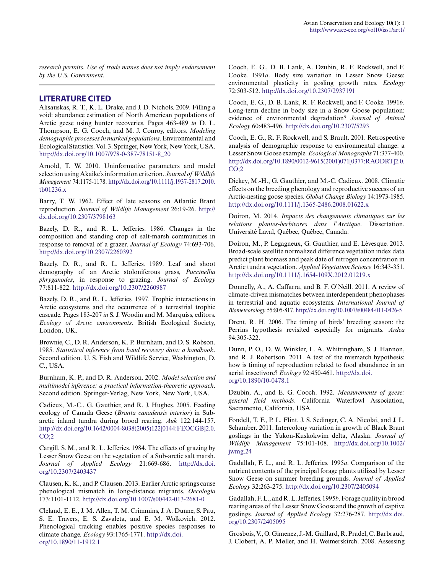*research permits. Use of trade names does not imply endorsement by the U.S. Government.*

### **LITERATURE CITED**

Alisauskas, R. T., K. L. Drake, and J. D. Nichols. 2009. Filling a void: abundance estimation of North American populations of Arctic geese using hunter recoveries. Pages 463-489 *in* D. L. Thompson, E. G. Cooch, and M. J. Conroy, editors. *Modeling demographic processes in marked populations*. Environmental and Ecological Statistics. Vol. 3. Springer, New York, New York, USA. [http://dx.doi.org/10.1007/978-0-387-78151-8\\_20](http://dx.doi.org/10.1007%2F978-0-387-78151-8_20)

Arnold, T. W. 2010. Uninformative parameters and model selection using Akaike's information criterion. *Journal of Wildlife Management* 74:1175-1178. [http://dx.doi.org/10.1111/j.1937-2817.2010.](http://dx.doi.org/10.1111%2Fj.1937-2817.2010.tb01236.x) [tb01236.x](http://dx.doi.org/10.1111%2Fj.1937-2817.2010.tb01236.x)

Barry, T. W. 1962. Effect of late seasons on Atlantic Brant reproduction. *Journal of Wildlife Management* 26:19-26. [http://](http://dx.doi.org/10.2307%2F3798163) [dx.doi.org/10.2307/3798163](http://dx.doi.org/10.2307%2F3798163)

Bazely, D. R., and R. L. Jefferies. 1986. Changes in the composition and standing crop of salt-marsh communities in response to removal of a grazer. *Journal of Ecology* 74:693-706. [http://dx.doi.org/10.2307/2260392](http://dx.doi.org/10.2307%2F2260392) 

Bazely, D. R., and R. L. Jefferies. 1989. Leaf and shoot demography of an Arctic stoloniferous grass, *Puccinellia phryganodes*, in response to grazing. *Journal of Ecology* 77:811-822. [http://dx.doi.org/10.2307/2260987](http://dx.doi.org/10.2307%2F2260987) 

Bazely, D. R., and R. L. Jefferies. 1997. Trophic interactions in Arctic ecosystems and the occurrence of a terrestrial trophic cascade. Pages 183-207 *in* S. J. Woodin and M. Marquiss, editors. *Ecology of Arctic environments*. British Ecological Society, London, UK.

Brownie, C., D. R. Anderson, K. P. Burnham, and D. S. Robson. 1985. *Statistical inference from band recovery data: a handbook*. Second edition. U. S. Fish and Wildlife Service, Washington, D. C., USA.

Burnham, K. P., and D. R. Anderson. 2002. *Model selection and multimodel inference: a practical information-theoretic approach*. Second edition. Springer-Verlag, New York, New York, USA.

Cadieux, M.-C., G. Gauthier, and R. J. Hughes. 2005. Feeding ecology of Canada Geese (*Branta canadensis interior*) in Subarctic inland tundra during brood rearing. *Auk* 122:144-157. [http://dx.doi.org/10.1642/0004-8038\(2005\)122\[0144:FEOCGB\]2.0.](http://dx.doi.org/10.1642%2F0004-8038%282005%29122%5B0144%3AFEOCGB%5D2.0.CO%3B2) [CO;2](http://dx.doi.org/10.1642%2F0004-8038%282005%29122%5B0144%3AFEOCGB%5D2.0.CO%3B2)

Cargill, S. M., and R. L. Jefferies. 1984. The effects of grazing by Lesser Snow Geese on the vegetation of a Sub-arctic salt marsh. *Journal of Applied Ecology* 21:669-686. [http://dx.doi.](http://dx.doi.org/10.2307%2F2403437) [org/10.2307/2403437](http://dx.doi.org/10.2307%2F2403437) 

Clausen, K. K., and P. Clausen. 2013. Earlier Arctic springs cause phenological mismatch in long-distance migrants. *Oecologia* 173:1101-1112. [http://dx.doi.org/10.1007/s00442-013-2681-0](http://dx.doi.org/10.1007%2Fs00442-013-2681-0) 

Cleland, E. E., J. M. Allen, T. M. Crimmins, J. A. Dunne, S. Pau, S. E. Travers, E. S. Zavaleta, and E. M. Wolkovich. 2012. Phenological tracking enables positive species responses to climate change. *Ecology* 93:1765-1771. [http://dx.doi.](http://dx.doi.org/10.1890%2F11-1912.1) [org/10.1890/11-1912.1](http://dx.doi.org/10.1890%2F11-1912.1)

Cooch, E. G., D. B. Lank, A. Dzubin, R. F. Rockwell, and F. Cooke. 1991*a*. Body size variation in Lesser Snow Geese: environmental plasticity in gosling growth rates. *Ecology* 72:503-512. [http://dx.doi.org/10.2307/2937191](http://dx.doi.org/10.2307%2F2937191) 

Cooch, E. G., D. B. Lank, R. F. Rockwell, and F. Cooke. 1991*b*. Long-term decline in body size in a Snow Goose population: evidence of environmental degradation? *Journal of Animal Ecology* 60:483-496. [http://dx.doi.org/10.2307/5293](http://dx.doi.org/10.2307%2F5293) 

Cooch, E. G., R. F. Rockwell, and S. Brault. 2001. Retrospective analysis of demographic response to environmental change: a Lesser Snow Goose example. *Ecological Monographs* 71:377-400. [http://dx.doi.org/10.1890/0012-9615\(2001\)071\[0377:RAODRT\]2.0.](http://dx.doi.org/10.1890%2F0012-9615%282001%29071%5B0377%3ARAODRT%5D2.0.CO%3B2)  $CO:2$ 

Dickey, M.-H., G. Gauthier, and M.-C. Cadieux. 2008. Climatic effects on the breeding phenology and reproductive success of an Arctic-nesting goose species. *Global Change Biology* 14:1973-1985. [http://dx.doi.org/10.1111/j.1365-2486.2008.01622.x](http://dx.doi.org/10.1111%2Fj.1365-2486.2008.01622.x) 

Doiron, M. 2014. *Impacts des changements climatiques sur les relations plantes-herbivores dans l'Arctique*. Dissertation. Université Laval, Québec, Québec, Canada.

Doiron, M., P. Legagneux, G. Gauthier, and E. Lévesque. 2013. Broad-scale satellite normalized difference vegetation index data predict plant biomass and peak date of nitrogen concentration in Arctic tundra vegetation. *Applied Vegetation Science* 16:343-351. [http://dx.doi.org/10.1111/j.1654-109X.2012.01219.x](http://dx.doi.org/10.1111%2Fj.1654-109X.2012.01219.x) 

Donnelly, A., A. Caffarra, and B. F. O'Neill. 2011. A review of climate-driven mismatches between interdependent phenophases in terrestrial and aquatic ecosystems. *International Journal of Biometeorology* 55:805-817. [http://dx.doi.org/10.1007/s00484-011-0426-5](http://dx.doi.org/10.1007%2Fs00484-011-0426-5)

Drent, R. H. 2006. The timing of birds' breeding season: the Perrins hypothesis revisited especially for migrants. *Ardea* 94:305-322.

Dunn, P. O., D. W. Winkler, L. A. Whittingham, S. J. Hannon, and R. J. Robertson. 2011. A test of the mismatch hypothesis: how is timing of reproduction related to food abundance in an aerial insectivore? *Ecology* 92:450-461. [http://dx.doi.](http://dx.doi.org/10.1890%2F10-0478.1) [org/10.1890/10-0478.1](http://dx.doi.org/10.1890%2F10-0478.1)

Dzubin, A., and E. G. Cooch. 1992. *Measurements of geese: general field methods*. California Waterfowl Association, Sacramento, California, USA.

Fondell, T. F., P. L. Flint, J. S. Sedinger, C. A. Nicolai, and J. L. Schamber. 2011. Intercolony variation in growth of Black Brant goslings in the Yukon-Kuskokwim delta, Alaska. *Journal of Wildlife Management* 75:101-108. [http://dx.doi.org/10.1002/](http://dx.doi.org/10.1002%2Fjwmg.24) [jwmg.24](http://dx.doi.org/10.1002%2Fjwmg.24)

Gadallah, F. L., and R. L. Jefferies. 1995*a*. Comparison of the nutrient contents of the principal forage plants utilized by Lesser Snow Geese on summer breeding grounds. *Journal of Applied Ecology* 32:263-275. [http://dx.doi.org/10.2307/2405094](http://dx.doi.org/10.2307%2F2405094)

Gadallah, F. L., and R. L. Jefferies. 1995*b*. Forage quality in brood rearing areas of the Lesser Snow Goose and the growth of captive goslings. *Journal of Applied Ecology* 32:276-287. [http://dx.doi.](http://dx.doi.org/10.2307%2F2405095) [org/10.2307/2405095](http://dx.doi.org/10.2307%2F2405095) 

Grosbois, V., O. Gimenez, J.-M. Gaillard, R. Pradel, C. Barbraud, J. Clobert, A. P. Møller, and H. Weimerskirch. 2008. Assessing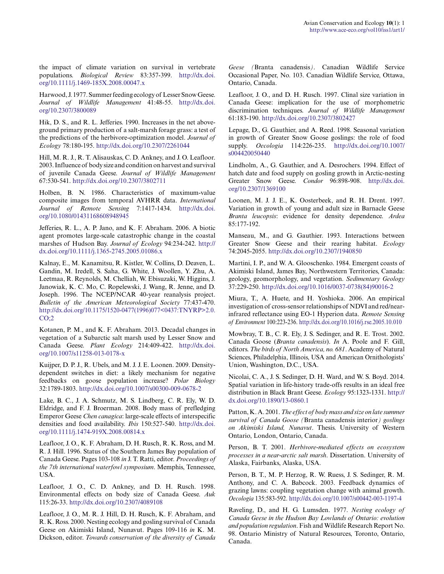the impact of climate variation on survival in vertebrate populations. *Biological Review* 83:357-399. [http://dx.doi.](http://dx.doi.org/10.1111%2Fj.1469-185X.2008.00047.x) [org/10.1111/j.1469-185X.2008.00047.x](http://dx.doi.org/10.1111%2Fj.1469-185X.2008.00047.x) 

Harwood, J. 1977. Summer feeding ecology of Lesser Snow Geese. *Journal of Wildlife Management* 41:48-55. [http://dx.doi.](http://dx.doi.org/10.2307%2F3800089) [org/10.2307/3800089](http://dx.doi.org/10.2307%2F3800089) 

Hik, D. S., and R. L. Jefferies. 1990. Increases in the net aboveground primary production of a salt-marsh forage grass: a test of the predictions of the herbivore-optimization model. *Journal of Ecology* 78:180-195. [http://dx.doi.org/10.2307/2261044](http://dx.doi.org/10.2307%2F2261044)

Hill, M. R. J., R. T. Alisauskas, C. D. Ankney, and J. O. Leafloor. 2003. Influence of body size and condition on harvest and survival of juvenile Canada Geese. *Journal of Wildlife Management* 67:530-541. [http://dx.doi.org/10.2307/3802711](http://dx.doi.org/10.2307%2F3802711) 

Holben, B. N. 1986. Characteristics of maximum-value composite images from temporal AVHRR data. *International Journal of Remote Sensing* 7:1417-1434. [http://dx.doi.](http://dx.doi.org/10.1080%2F01431168608948945) [org/10.1080/01431168608948945](http://dx.doi.org/10.1080%2F01431168608948945) 

Jefferies, R. L., A. P. Jano, and K. F. Abraham. 2006. A biotic agent promotes large-scale catastrophic change in the coastal marshes of Hudson Bay. *Journal of Ecology* 94:234-242. [http://](http://dx.doi.org/10.1111%2Fj.1365-2745.2005.01086.x) [dx.doi.org/10.1111/j.1365-2745.2005.01086.x](http://dx.doi.org/10.1111%2Fj.1365-2745.2005.01086.x)

Kalnay, E., M. Kanamitsu, R. Kistler, W. Collins, D. Deaven, L. Gandin, M. Iredell, S. Saha, G. White, J. Woollen, Y. Zhu, A. Leetmaa, R. Reynolds, M. Chelliah, W. Ebisuzaki, W. Higgins, J. Janowiak, K. C. Mo, C. Ropelewski, J. Wang, R. Jenne, and D. Joseph. 1996. The NCEP/NCAR 40-year reanalysis project. *Bulletin of the American Meteorological Society* 77:437-470. [http://dx.doi.org/10.1175/1520-0477\(1996\)077<0437:TNYRP>2.0.](http://dx.doi.org/10.1175%2F1520-0477%281996%29077%3C0437%3ATNYRP%3E2.0.CO%3B2)  $CO:2$ 

Kotanen, P. M., and K. F. Abraham. 2013. Decadal changes in vegetation of a Subarctic salt marsh used by Lesser Snow and Canada Geese. *Plant Ecology* 214:409-422. [http://dx.doi.](http://dx.doi.org/10.1007%2Fs11258-013-0178-x) [org/10.1007/s11258-013-0178-x](http://dx.doi.org/10.1007%2Fs11258-013-0178-x)

Kuijper, D. P. J., R. Ubels, and M. J. J. E. Loonen. 2009. Densitydependent switches in diet: a likely mechanism for negative feedbacks on goose population increase? *Polar Biology* 32:1789-1803.<http://dx.doi.org/10.1007/s00300-009-0678-2>

Lake, B. C., J. A. Schmutz, M. S. Lindberg, C. R. Ely, W. D. Eldridge, and F. J. Broerman. 2008. Body mass of prefledging Emperor Geese *Chen canagica*: large-scale effects of interspecific densities and food availability. *Ibis* 150:527-540. [http://dx.doi.](http://dx.doi.org/10.1111%2Fj.1474-919X.2008.00814.x) [org/10.1111/j.1474-919X.2008.00814.x](http://dx.doi.org/10.1111%2Fj.1474-919X.2008.00814.x) 

Leafloor, J. O., K. F. Abraham, D. H. Rusch, R. K. Ross, and M. R. J. Hill. 1996. Status of the Southern James Bay population of Canada Geese. Pages 103-108 *in* J. T. Ratti, editor. *Proceedings of the 7th international waterfowl symposium*. Memphis, Tennessee, USA.

Leafloor, J. O., C. D. Ankney, and D. H. Rusch. 1998. Environmental effects on body size of Canada Geese. *Auk* 115:26-33. [http://dx.doi.org/10.2307/4089108](http://dx.doi.org/10.2307%2F4089108)

Leafloor, J. O., M. R. J. Hill, D. H. Rusch, K. F. Abraham, and R. K. Ross. 2000. Nesting ecology and gosling survival of Canada Geese on Akimiski Island, Nunavut. Pages 109-116 *in* K. M. Dickson, editor. *Towards conservation of the diversity of Canada*

*Geese (*Branta canadensis*)*. Canadian Wildlife Service Occasional Paper, No. 103. Canadian Wildlife Service, Ottawa, Ontario, Canada.

Leafloor, J. O., and D. H. Rusch. 1997. Clinal size variation in Canada Geese: implication for the use of morphometric discrimination techniques. *Journal of Wildlife Management* 61:183-190. [http://dx.doi.org/10.2307/3802427](http://dx.doi.org/10.2307%2F3802427) 

Lepage, D., G. Gauthier, and A. Reed. 1998. Seasonal variation in growth of Greater Snow Goose goslings: the role of food supply. *Oecologia* 114:226-235. [http://dx.doi.org/10.1007/](http://dx.doi.org/10.1007%2Fs004420050440) [s004420050440](http://dx.doi.org/10.1007%2Fs004420050440)

Lindholm, A., G. Gauthier, and A. Desrochers. 1994. Effect of hatch date and food supply on gosling growth in Arctic-nesting Greater Snow Geese. *Condor* 96:898-908. [http://dx.doi.](http://dx.doi.org/10.2307%2F1369100) [org/10.2307/1369100](http://dx.doi.org/10.2307%2F1369100) 

Loonen, M. J. J. E., K. Oosterbeek, and R. H. Drent. 1997. Variation in growth of young and adult size in Barnacle Geese *Branta leucopsis*: evidence for density dependence. *Ardea* 85:177-192.

Manseau, M., and G. Gauthier. 1993. Interactions between Greater Snow Geese and their rearing habitat. *Ecology* 74:2045-2055. [http://dx.doi.org/10.2307/1940850](http://dx.doi.org/10.2307%2F1940850) 

Martini, I. P., and W. A. Glooschenko. 1984. Emergent coasts of Akimiski Island, James Bay, Northwestern Territories, Canada: geology, geomorphology, and vegetation. *Sedimentary Geology* 37:229-250. [http://dx.doi.org/10.1016/0037-0738\(84\)90016-2](http://dx.doi.org/10.1016%2F0037-0738%2884%2990016-2)

Miura, T., A. Huete, and H. Yoshioka. 2006. An empirical investigation of cross-sensor relationships of NDVI and red/nearinfrared reflectance using EO-1 Hyperion data. *Remote Sensing of Environment* 100:223-236. [http://dx.doi.org/10.1016/j.rse.2005.10.010](http://dx.doi.org/10.1016%2Fj.rse.2005.10.010)

Mowbray, T. B., C. R. Ely, J. S. Sedinger, and R. E. Trost. 2002. Canada Goose (*Branta canadensis*). *In* A. Poole and F. Gill, editors. *The birds of North America, no. 681*. Academy of Natural Sciences, Philadelphia, Illinois, USA and American Ornithologists' Union, Washington, D.C., USA.

Nicolai, C. A., J. S. Sedinger, D. H. Ward, and W. S. Boyd. 2014. Spatial variation in life-history trade-offs results in an ideal free distribution in Black Brant Geese. *Ecology* 95:1323-1331. [http://](http://dx.doi.org/10.1890%2F13-0860.1) [dx.doi.org/10.1890/13-0860.1](http://dx.doi.org/10.1890%2F13-0860.1) 

Patton, K. A. 2001. *The effect of body mass and size on late summer survival of Canada Goose (*Branta canadensis interior*) goslings on Akimiski Island, Nunavut*. Thesis. University of Western Ontario, London, Ontario, Canada.

Person, B. T. 2001. *Herbivore-mediated effects on ecosystem processes in a near-arctic salt marsh*. Dissertation. University of Alaska, Fairbanks, Alaska, USA.

Person, B. T., M. P. Herzog, R. W. Ruess, J. S. Sedinger, R. M. Anthony, and C. A. Babcock. 2003. Feedback dynamics of grazing lawns: coupling vegetation change with animal growth. *Oecologia* 135:583-592. [http://dx.doi.org/10.1007/s00442-003-1197-4](http://dx.doi.org/10.1007%2Fs00442-003-1197-4) 

Raveling, D., and H. G. Lumsden. 1977. *Nesting ecology of Canada Geese in the Hudson Bay Lowlands of Ontario: evolution and population regulation*. Fish and Wildlife Research Report No. 98. Ontario Ministry of Natural Resources, Toronto, Ontario, Canada.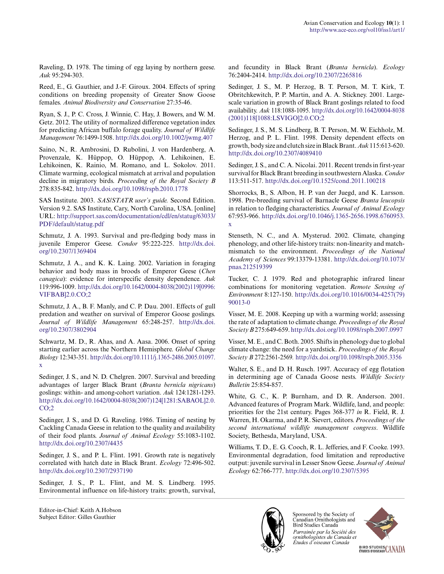Raveling, D. 1978. The timing of egg laying by northern geese. *Auk* 95:294-303.

Reed, E., G. Gauthier, and J.-F. Giroux. 2004. Effects of spring conditions on breeding propensity of Greater Snow Goose females. *Animal Biodiversity and Conservation* 27:35-46.

Ryan, S. J., P. C. Cross, J. Winnie, C. Hay, J. Bowers, and W. M. Getz. 2012. The utility of normalized difference vegetation index for predicting African buffalo forage quality. *Journal of Wildlife Management* 76:1499-1508. [http://dx.doi.org/10.1002/jwmg.407](http://dx.doi.org/10.1002%2Fjwmg.407)

Saino, N., R. Ambrosini, D. Rubolini, J. von Hardenberg, A. Provenzale, K. Hüppop, O. Hüppop, A. Lehikoinen, E. Lehikoinen, K. Rainio, M. Romano, and L. Sokolov. 2011. Climate warming, ecological mismatch at arrival and population decline in migratory birds. *Proceeding of the Royal Society B* 278:835-842. [http://dx.doi.org/10.1098/rspb.2010.1778](http://dx.doi.org/10.1098%2Frspb.2010.1778)

SAS Institute. 2003. *SAS/STATR user's guide.* Second Edition. Version 9.2. SAS Institute, Cary, North Carolina, USA. [online] URL: [http://support.sas.com/documentation/cdl/en/statug/63033/](http://support.sas.com/documentation/cdl/en/statug/63033/PDF/default/statug.pdf) [PDF/default/statug.pdf](http://support.sas.com/documentation/cdl/en/statug/63033/PDF/default/statug.pdf)

Schmutz, J. A. 1993. Survival and pre-fledging body mass in juvenile Emperor Geese. *Condor* 95:222-225. [http://dx.doi.](http://dx.doi.org/10.2307%2F1369404) [org/10.2307/1369404](http://dx.doi.org/10.2307%2F1369404) 

Schmutz, J. A., and K. K. Laing. 2002. Variation in foraging behavior and body mass in broods of Emperor Geese (*Chen canagica*): evidence for interspecific density dependence. *Auk* 119:996-1009. [http://dx.doi.org/10.1642/0004-8038\(2002\)119\[0996:](http://dx.doi.org/10.1642%2F0004-8038%282002%29119%5B0996%3AVIFBAB%5D2.0.CO%3B2) [VIFBAB\]2.0.CO;2](http://dx.doi.org/10.1642%2F0004-8038%282002%29119%5B0996%3AVIFBAB%5D2.0.CO%3B2)

Schmutz, J. A., B. F. Manly, and C. P. Dau. 2001. Effects of gull predation and weather on survival of Emperor Goose goslings. *Journal of Wildlife Management* 65:248-257. [http://dx.doi.](http://dx.doi.org/10.2307%2F3802904) [org/10.2307/3802904](http://dx.doi.org/10.2307%2F3802904) 

Schwartz, M. D., R. Ahas, and A. Aasa. 2006. Onset of spring starting earlier across the Northern Hemisphere. *Global Change Biology* 12:343-351. [http://dx.doi.org/10.1111/j.1365-2486.2005.01097.](http://dx.doi.org/10.1111%2Fj.1365-2486.2005.01097.x) [x](http://dx.doi.org/10.1111%2Fj.1365-2486.2005.01097.x)

Sedinger, J. S., and N. D. Chelgren. 2007. Survival and breeding advantages of larger Black Brant (*Branta bernicla nigricans*) goslings: within- and among-cohort variation. *Auk* 124:1281-1293. [http://dx.doi.org/10.1642/0004-8038\(2007\)124\[1281:SABAOL\]2.0.](http://dx.doi.org/10.1642%2F0004-8038%282007%29124%5B1281%3ASABAOL%5D2.0.CO%3B2) [CO;2](http://dx.doi.org/10.1642%2F0004-8038%282007%29124%5B1281%3ASABAOL%5D2.0.CO%3B2)

Sedinger, J. S., and D. G. Raveling. 1986. Timing of nesting by Cackling Canada Geese in relation to the quality and availability of their food plants. *Journal of Animal Ecology* 55:1083-1102. [http://dx.doi.org/10.2307/4435](http://dx.doi.org/10.2307%2F4435)

Sedinger, J. S., and P. L. Flint. 1991. Growth rate is negatively correlated with hatch date in Black Brant. *Ecology* 72:496-502. [http://dx.doi.org/10.2307/2937190](http://dx.doi.org/10.2307%2F2937190) 

Sedinger, J. S., P. L. Flint, and M. S. Lindberg. 1995. Environmental influence on life-history traits: growth, survival,

Editor-in-Chief: Keith A.Hobson Subject Editor: Gilles Gauthier

and fecundity in Black Brant (*Branta bernicla*). *Ecology* 76:2404-2414. [http://dx.doi.org/10.2307/2265816](http://dx.doi.org/10.2307%2F2265816) 

Sedinger, J. S., M. P. Herzog, B. T. Person, M. T. Kirk, T. Obritchkewitch, P. P. Martin, and A. A. Stickney. 2001. Largescale variation in growth of Black Brant goslings related to food availability. *Auk* 118:1088-1095. [http://dx.doi.org/10.1642/0004-8038](http://dx.doi.org/10.1642%2F0004-8038%282001%29118%5B1088%3ALSVIGO%5D2.0.CO%3B2) [\(2001\)118\[1088:LSVIGO\]2.0.CO;2](http://dx.doi.org/10.1642%2F0004-8038%282001%29118%5B1088%3ALSVIGO%5D2.0.CO%3B2)

Sedinger, J. S., M. S. Lindberg, B. T. Person, M. W. Eichholz, M. Herzog, and P. L. Flint. 1998. Density dependent effects on growth, body size and clutch size in Black Brant. *Auk* 115:613-620. [http://dx.doi.org/10.2307/4089410](http://dx.doi.org/10.2307%2F4089410) 

Sedinger, J. S., and C. A. Nicolai. 2011. Recent trends in first-year survival for Black Brant breeding in southwestern Alaska. *Condor* 113:511-517. [http://dx.doi.org/10.1525/cond.2011.100218](http://dx.doi.org/10.1525%2Fcond.2011.100218) 

Shorrocks, B., S. Albon, H. P. van der Juegd, and K. Larsson. 1998. Pre-breeding survival of Barnacle Geese *Branta leucopsis* in relation to fledging characteristics. *Journal of Animal Ecology* 67:953-966. [http://dx.doi.org/10.1046/j.1365-2656.1998.6760953.](http://dx.doi.org/10.1046%2Fj.1365-2656.1998.6760953.x) [x](http://dx.doi.org/10.1046%2Fj.1365-2656.1998.6760953.x) 

Stenseth, N. C., and A. Mysterud. 2002. Climate, changing phenology, and other life-history traits: non-linearity and matchmismatch to the environment. *Proceedings of the National Academy of Sciences* 99:13379-13381. [http://dx.doi.org/10.1073/](http://dx.doi.org/10.1073%2Fpnas.212519399) [pnas.212519399](http://dx.doi.org/10.1073%2Fpnas.212519399)

Tucker, C. J. 1979. Red and photographic infrared linear combinations for monitoring vegetation. *Remote Sensing of Environment* 8:127-150. [http://dx.doi.org/10.1016/0034-4257\(79\)](http://dx.doi.org/10.1016%2F0034-4257%2879%2990013-0) [90013-0](http://dx.doi.org/10.1016%2F0034-4257%2879%2990013-0) 

Visser, M. E. 2008. Keeping up with a warming world; assessing the rate of adaptation to climate change. *Proceedings of the Royal Society B* 275:649-659. [http://dx.doi.org/10.1098/rspb.2007.0997](http://dx.doi.org/10.1098%2Frspb.2007.0997)

Visser, M. E., and C. Both. 2005. Shifts in phenology due to global climate change: the need for a yardstick. *Proceedings of the Royal Society B* 272:2561-2569*.* [http://dx.doi.org/10.1098/rspb.2005.3356](http://dx.doi.org/10.1098%2Frspb.2005.3356) 

Walter, S. E., and D. H. Rusch. 1997. Accuracy of egg flotation in determining age of Canada Goose nests. *Wildlife Society Bulletin* 25:854-857.

White, G. C., K. P. Burnham, and D. R. Anderson. 2001. Advanced features of Program Mark. Wildlife, land, and people: priorities for the 21st century. Pages 368-377 *in* R. Field, R. J. Warren, H. Okarma, and P. R. Sievert, editors. *Proceedings of the second international wildlife management congress*. Wildlife Society, Bethesda, Maryland, USA.

Williams, T. D., E. G. Cooch, R. L. Jefferies, and F. Cooke. 1993. Environmental degradation, food limitation and reproductive output: juvenile survival in Lesser Snow Geese. *Journal of Animal Ecology* 62:766-777. [http://dx.doi.org/10.2307/5395](http://dx.doi.org/10.2307%2F5395)



Sponsored by the Society of Canadian Ornithologists and Bird Studies Canada Parrainée par la Société des ornithologistes du Canada et Études d'oiseaux Canada



BIRD STUDIES CANADA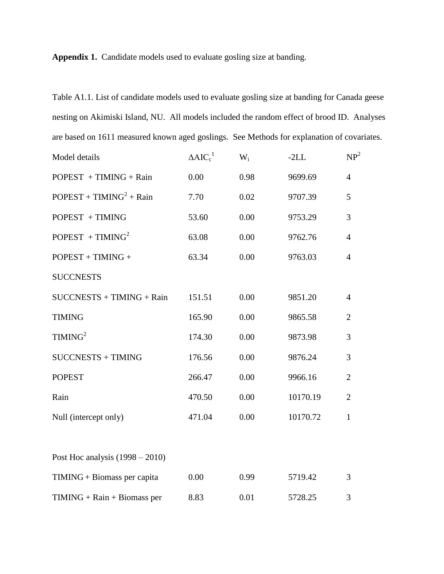**Appendix 1.** Candidate models used to evaluate gosling size at banding.

Table A1.1. List of candidate models used to evaluate gosling size at banding for Canada geese nesting on Akimiski Island, NU. All models included the random effect of brood ID. Analyses are based on 1611 measured known aged goslings. See Methods for explanation of covariates.

| Model details                     | $\triangle AIC_c^1$ | $W_i$ | $-2LL$   | NP <sup>2</sup> |
|-----------------------------------|---------------------|-------|----------|-----------------|
| $POPEST + TIMING + Rain$          | 0.00                | 0.98  | 9699.69  | $\overline{4}$  |
| $POPEST + TIMING2 + Rain$         | 7.70                | 0.02  | 9707.39  | 5               |
| POPEST + TIMING                   | 53.60               | 0.00  | 9753.29  | 3               |
| POPEST + TIMING <sup>2</sup>      | 63.08               | 0.00  | 9762.76  | $\overline{4}$  |
| $POPEST + TIMING +$               | 63.34               | 0.00  | 9763.03  | $\overline{4}$  |
| <b>SUCCNESTS</b>                  |                     |       |          |                 |
| $SUCCNESTS + TIMING + Rain$       | 151.51              | 0.00  | 9851.20  | $\overline{4}$  |
| <b>TIMING</b>                     | 165.90              | 0.00  | 9865.58  | $\overline{2}$  |
| TIMING <sup>2</sup>               | 174.30              | 0.00  | 9873.98  | 3               |
| <b>SUCCNESTS + TIMING</b>         | 176.56              | 0.00  | 9876.24  | 3               |
| <b>POPEST</b>                     | 266.47              | 0.00  | 9966.16  | $\overline{2}$  |
| Rain                              | 470.50              | 0.00  | 10170.19 | $\overline{2}$  |
| Null (intercept only)             | 471.04              | 0.00  | 10170.72 | $\mathbf{1}$    |
|                                   |                     |       |          |                 |
| Post Hoc analysis $(1998 – 2010)$ |                     |       |          |                 |
| TIMING + Biomass per capita       | 0.00                | 0.99  | 5719.42  | 3               |
| $TIMING + Rain + Biomass per$     | 8.83                | 0.01  | 5728.25  | 3               |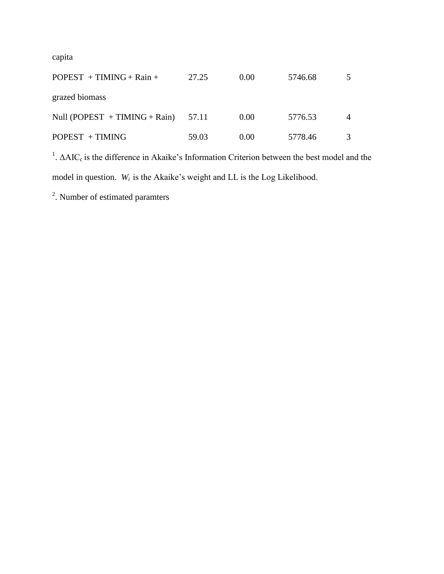capita

| $POPEST + TIMING + Rain +$        | 27.25 | 0.00 | 5746.68 |  |
|-----------------------------------|-------|------|---------|--|
| grazed biomass                    |       |      |         |  |
| Null (POPEST $+$ TIMING $+$ Rain) | 57.11 | 0.00 | 5776.53 |  |
| $POPEST + TIMING$                 | 59.03 | 0.00 | 5778.46 |  |

<sup>1</sup>. ΔAIC<sub>c</sub> is the difference in Akaike's Information Criterion between the best model and the model in question. *W<sup>i</sup>* is the Akaike's weight and LL is the Log Likelihood.

<sup>2</sup>. Number of estimated paramters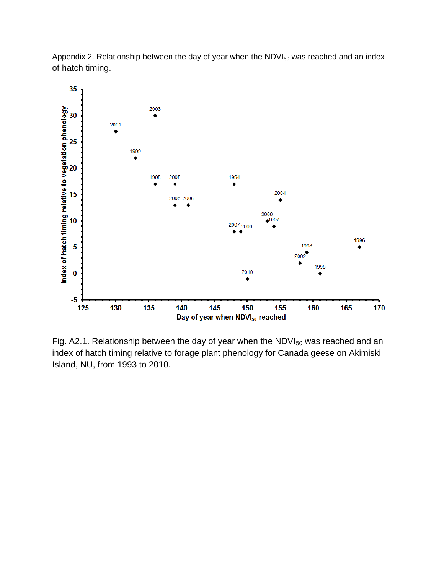Appendix 2. Relationship between the day of year when the  $NDVI_{50}$  was reached and an index of hatch timing.



Fig. A2.1. Relationship between the day of year when the  $NDVI_{50}$  was reached and an index of hatch timing relative to forage plant phenology for Canada geese on Akimiski Island, NU, from 1993 to 2010.